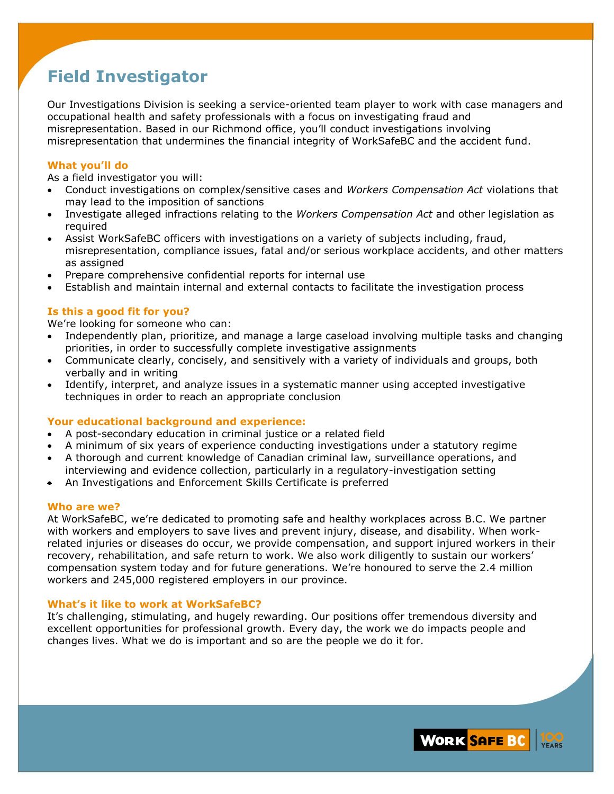# **Field Investigator**

Our Investigations Division is seeking a service-oriented team player to work with case managers and occupational health and safety professionals with a focus on investigating fraud and misrepresentation. Based in our Richmond office, you'll conduct investigations involving misrepresentation that undermines the financial integrity of WorkSafeBC and the accident fund.

## **What you'll do**

As a field investigator you will:

- Conduct investigations on complex/sensitive cases and *Workers Compensation Act* violations that may lead to the imposition of sanctions
- Investigate alleged infractions relating to the *Workers Compensation Act* and other legislation as required
- Assist WorkSafeBC officers with investigations on a variety of subjects including, fraud, misrepresentation, compliance issues, fatal and/or serious workplace accidents, and other matters as assigned
- Prepare comprehensive confidential reports for internal use
- Establish and maintain internal and external contacts to facilitate the investigation process

# **Is this a good fit for you?**

We're looking for someone who can:

- Independently plan, prioritize, and manage a large caseload involving multiple tasks and changing priorities, in order to successfully complete investigative assignments
- Communicate clearly, concisely, and sensitively with a variety of individuals and groups, both verbally and in writing
- Identify, interpret, and analyze issues in a systematic manner using accepted investigative techniques in order to reach an appropriate conclusion

### **Your educational background and experience:**

- A post-secondary education in criminal justice or a related field
- A minimum of six years of experience conducting investigations under a statutory regime
- A thorough and current knowledge of Canadian criminal law, surveillance operations, and interviewing and evidence collection, particularly in a regulatory-investigation setting
- An Investigations and Enforcement Skills Certificate is preferred

### **Who are we?**

At WorkSafeBC, we're dedicated to promoting safe and healthy workplaces across B.C. We partner with workers and employers to save lives and prevent injury, disease, and disability. When workrelated injuries or diseases do occur, we provide compensation, and support injured workers in their recovery, rehabilitation, and safe return to work. We also work diligently to sustain our workers' compensation system today and for future generations. We're honoured to serve the 2.4 million workers and 245,000 registered employers in our province.

### **What's it like to work at WorkSafeBC?**

It's challenging, stimulating, and hugely rewarding. Our positions offer tremendous diversity and excellent opportunities for professional growth. Every day, the work we do impacts people and changes lives. What we do is important and so are the people we do it for.